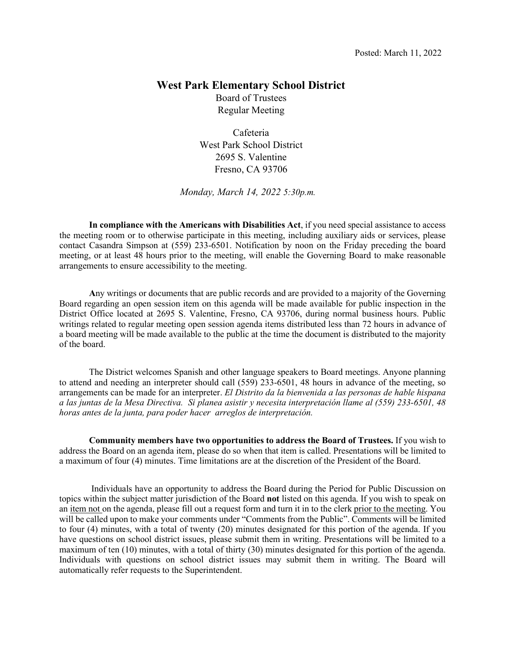# **West Park Elementary School District**  Board of Trustees

Regular Meeting

Cafeteria West Park School District 2695 S. Valentine Fresno, CA 93706

*Monday, March 14, 2022 5:30p.m.* 

**In compliance with the Americans with Disabilities Act**, if you need special assistance to access the meeting room or to otherwise participate in this meeting, including auxiliary aids or services, please contact Casandra Simpson at (559) 233-6501. Notification by noon on the Friday preceding the board meeting, or at least 48 hours prior to the meeting, will enable the Governing Board to make reasonable arrangements to ensure accessibility to the meeting.

 **A**ny writings or documents that are public records and are provided to a majority of the Governing Board regarding an open session item on this agenda will be made available for public inspection in the District Office located at 2695 S. Valentine, Fresno, CA 93706, during normal business hours. Public writings related to regular meeting open session agenda items distributed less than 72 hours in advance of a board meeting will be made available to the public at the time the document is distributed to the majority of the board.

 The District welcomes Spanish and other language speakers to Board meetings. Anyone planning to attend and needing an interpreter should call (559) 233-6501, 48 hours in advance of the meeting, so arrangements can be made for an interpreter. *El Distrito da la bienvenida a las personas de hable hispana a las juntas de la Mesa Directiva. Si planea asistir y necesita interpretación llame al (559) 233-6501, 48 horas antes de la junta, para poder hacer arreglos de interpretación.* 

**Community members have two opportunities to address the Board of Trustees.** If you wish to address the Board on an agenda item, please do so when that item is called. Presentations will be limited to a maximum of four (4) minutes. Time limitations are at the discretion of the President of the Board.

Individuals have an opportunity to address the Board during the Period for Public Discussion on topics within the subject matter jurisdiction of the Board **not** listed on this agenda. If you wish to speak on an item not on the agenda, please fill out a request form and turn it in to the clerk prior to the meeting. You will be called upon to make your comments under "Comments from the Public". Comments will be limited to four (4) minutes, with a total of twenty (20) minutes designated for this portion of the agenda. If you have questions on school district issues, please submit them in writing. Presentations will be limited to a maximum of ten (10) minutes, with a total of thirty (30) minutes designated for this portion of the agenda. Individuals with questions on school district issues may submit them in writing. The Board will automatically refer requests to the Superintendent.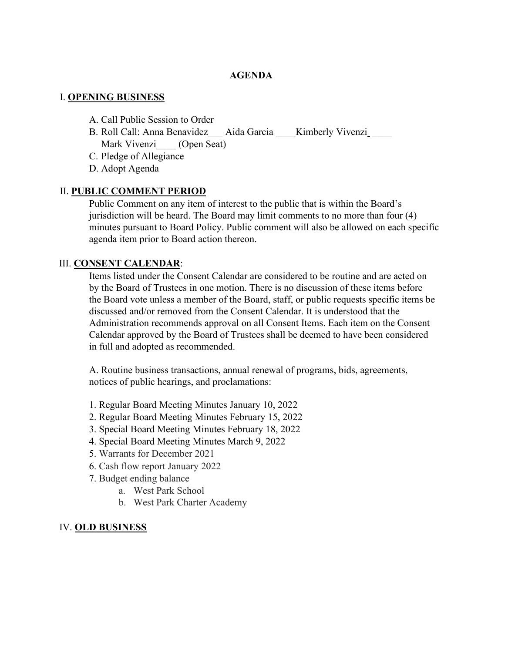#### **AGENDA**

#### I. **OPENING BUSINESS**

- A. Call Public Session to Order
- B. Roll Call: Anna Benavidez Aida Garcia Kimberly Vivenzi Mark Vivenzi (Open Seat)
- C. Pledge of Allegiance
- D. Adopt Agenda

#### II. **PUBLIC COMMENT PERIOD**

Public Comment on any item of interest to the public that is within the Board's jurisdiction will be heard. The Board may limit comments to no more than four (4) minutes pursuant to Board Policy. Public comment will also be allowed on each specific agenda item prior to Board action thereon.

#### III. **CONSENT CALENDAR**:

Items listed under the Consent Calendar are considered to be routine and are acted on by the Board of Trustees in one motion. There is no discussion of these items before the Board vote unless a member of the Board, staff, or public requests specific items be discussed and/or removed from the Consent Calendar. It is understood that the Administration recommends approval on all Consent Items. Each item on the Consent Calendar approved by the Board of Trustees shall be deemed to have been considered in full and adopted as recommended.

A. Routine business transactions, annual renewal of programs, bids, agreements, notices of public hearings, and proclamations:

- 1. Regular Board Meeting Minutes January 10, 2022
- 2. Regular Board Meeting Minutes February 15, 2022
- 3. Special Board Meeting Minutes February 18, 2022
- 4. Special Board Meeting Minutes March 9, 2022
- 5. Warrants for December 2021
- 6. Cash flow report January 2022
- 7. Budget ending balance
	- a. West Park School
	- b. West Park Charter Academy

#### IV. **OLD BUSINESS**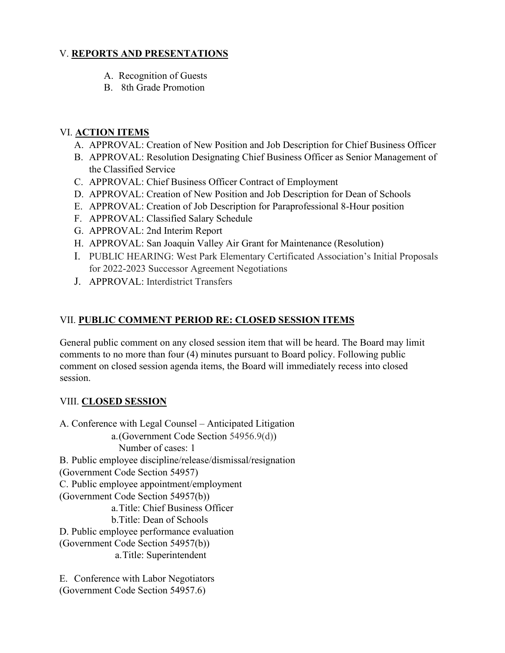### V. **REPORTS AND PRESENTATIONS**

- A. Recognition of Guests
- B. 8th Grade Promotion

# VI. **ACTION ITEMS**

- A. APPROVAL: Creation of New Position and Job Description for Chief Business Officer
- B. APPROVAL: Resolution Designating Chief Business Officer as Senior Management of the Classified Service
- C. APPROVAL: Chief Business Officer Contract of Employment
- D. APPROVAL: Creation of New Position and Job Description for Dean of Schools
- E. APPROVAL: Creation of Job Description for Paraprofessional 8-Hour position
- F. APPROVAL: Classified Salary Schedule
- G. APPROVAL: 2nd Interim Report
- H. APPROVAL: San Joaquin Valley Air Grant for Maintenance (Resolution)
- I. PUBLIC HEARING: West Park Elementary Certificated Association's Initial Proposals for 2022-2023 Successor Agreement Negotiations
- J. APPROVAL: Interdistrict Transfers

# VII. **PUBLIC COMMENT PERIOD RE: CLOSED SESSION ITEMS**

General public comment on any closed session item that will be heard. The Board may limit comments to no more than four (4) minutes pursuant to Board policy. Following public comment on closed session agenda items, the Board will immediately recess into closed session.

# VIII. **CLOSED SESSION**

A. Conference with Legal Counsel – Anticipated Litigation a.(Government Code Section 54956.9(d)) Number of cases: 1 B. Public employee discipline/release/dismissal/resignation (Government Code Section 54957) C. Public employee appointment/employment (Government Code Section 54957(b)) a.Title: Chief Business Officer b.Title: Dean of Schools D. Public employee performance evaluation (Government Code Section 54957(b)) a.Title: Superintendent

E. Conference with Labor Negotiators (Government Code Section 54957.6)